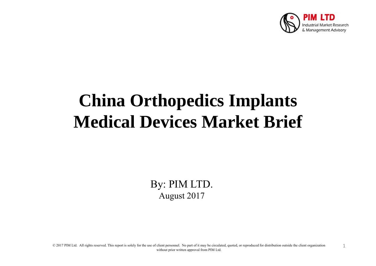

# **China Orthopedics Implants Medical Devices Market Brief**

By: PIM LTD. August 2017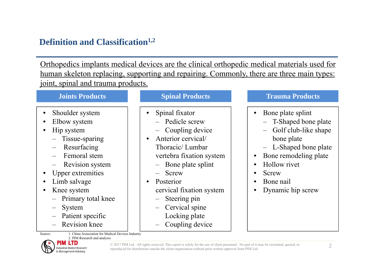# **Definition and Classification1,2**

Orthopedics implants medical devices are the clinical orthopedic medical materials used for human skeleton replacing, supporting and repairing. Commonly, there are three main types: joint, spinal and trauma products.

#### **Joints Products**

- •Shoulder system
- •Elbow system
- • Hip system
	- Tissue-sparing
	- Resurfacing
	- Femoral stem
	- Revision system
- •Upper extremities
- •Limb salvage
- • Knee system
	- Primary total knee
	- System
	- Patient specific
	- Revision knee

Source: 1. China Association for Medical Devices Industry 2. PIM Research and analysis

#### **Spinal Products**

- • Spinal fixator
	- ‒Pedicle screw
	- ‒Coupling device
- • Anterior cervical/ Thoracic/ Lumbar vertebra fixation system
	- ‒Bone plate splint
	- Screw
- • Posterior cervical fixation system
	- Steering pin
	- ‒ Cervical spine
		- Locking plate
	- —— Coupling device

#### **Trauma Products**

- $\bullet$  Bone plate splint
	- ‒T-Shaped bone plate
	- ‒ Golf club-like shape bone plate
	- ‒ L-Shaped bone plate
- •Bone remodeling plate
- •Hollow rivet
- •Screw
- •Bone nail
- •Dynamic hip screw



© 2017 PIM Ltd. All rights reserved. This report is solely for the use of client personnel. No part of it may be circulated, quoted, or reproduced for distribution outside the client organization without prior written approval from PIM Ltd.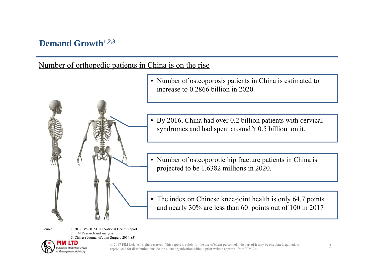#### **Demand Growth1,2,3**

Number of orthopedic patients in China is on the rise

• Number of osteoporosis patients in China is estimated to increase to 0.2866 billion in 2020.

• By 2016, China had over 0.2 billion patients with cervical syndromes and had spent around  $Y0.5$  billion on it.

• Number of osteoporotic hip fracture patients in China is projected to be 1.6382 millions in 2020.

• The index on Chinese knee-joint health is only 64.7 points and nearly 30% are less than 60 points out of 100 in 2017

Source: 1. 2017 BY-HEALTH National Health Report 2. PIM Research and analysis 3. Chinese Journal of Joint Surgery 2014, (3)



© 2017 PIM Ltd. All rights reserved. This report is solely for the use of client personnel. No part of it may be circulated, quoted, or reproduced for distribution outside the client organization without prior written approval from PIM Ltd.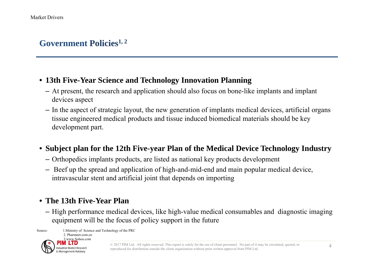## **Government Policies1, 2**

#### • **13th Five-Year Science and Technology Innovation Planning**

- At present, the research and application should also focus on bone-like implants and implant devices aspect
- In the aspect of strategic layout, the new generation of implants medical devices, artificial organs tissue engineered medical products and tissue induced biomedical materials should be key development part.
- **Subject plan for the 12th Five-year Plan of the Medical Device Technology Industry**
	- Orthopedics implants products, are listed as national key products development
	- Beef up the spread and application of high-and-mid-end and main popular medical device, intravascular stent and artificial joint that depends on importing

#### • **The 13th Five-Year Plan**

– High performance medical devices, like high-value medical consumables and diagnostic imaging equipment will be the focus of policy support in the future

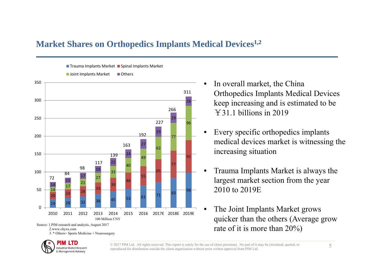#### **Market Shares on Orthopedics Implants Medical Devices1,2**



Trauma Implants Market ■ Spinal Implants Market

- • In overall market, the China Orthopedics Implants Medical Devices keep increasing and is estimated to be ¥31.1 billions in 2019
- • Every specific orthopedics implants medical devices market is witnessing the increasing situation
- • Trauma Implants Market is always the largest market section from the year 2010 to 2019E
- • The Joint Implants Market grows quicker than the others (Average grow rate of it is more than 20%)



2.www.chyxx.com

3. \* Others= Sports Medicine + Neurosurgery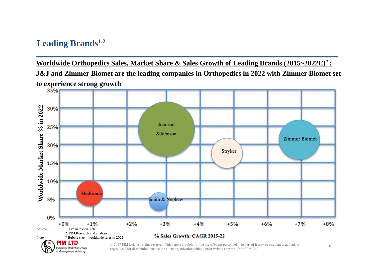### **Leading Brands1,2**

& Management Advisory

**Worldwide Orthopedics Sales, Market Share & Sales Growth of Leading Brands (2015~2022E)\* :** 

**J&J and Zimmer Biomet are the leading companies in Orthopedics in 2022 with Zimmer Biomet set to experience strong growth**